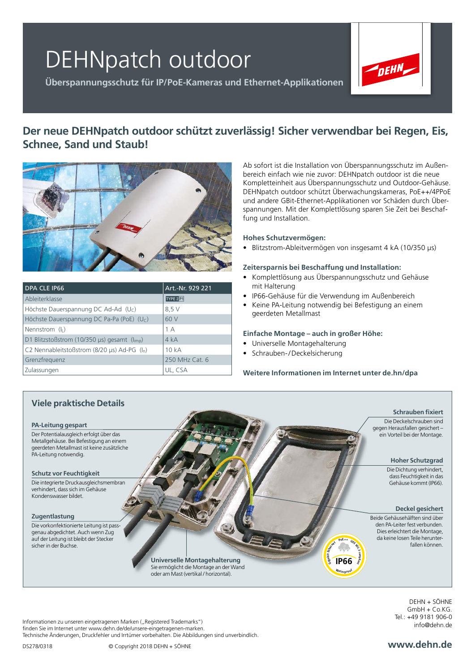# DEHNpatch outdoor

**Überspannungsschutz für IP/PoE-Kameras und Ethernet-Applikationen**



## **Der neue DEHNpatch outdoor schützt zuverlässig! Sicher verwendbar bei Regen, Eis, Schnee, Sand und Staub!**



| <b>DPA CLE IP66</b>                                            | Art.-Nr. 929 221  |
|----------------------------------------------------------------|-------------------|
| Ableiterklasse                                                 | TYPE 2 <b>P1</b>  |
| Höchste Dauerspannung DC Ad-Ad $(Uc)$                          | 8,5 V             |
| Höchste Dauerspannung DC Pa-Pa (PoE) (Uc)                      | 60 V              |
| Nennstrom $(I1)$                                               | 1A                |
| D1 Blitzstoßstrom (10/350 $\mu$ s) gesamt ( $I_{\text{imp}}$ ) | 4 kA              |
| C2 Nennableitstoßstrom (8/20 $\mu$ s) Ad-PG (I <sub>n</sub> )  | 10 <sub>k</sub> A |
| Grenzfrequenz                                                  | 250 MHz Cat. 6    |
| Zulassungen                                                    | UL, CSA           |

Ab sofort ist die Installation von Überspannungsschutz im Außenbereich einfach wie nie zuvor: DEHNpatch outdoor ist die neue Kompletteinheit aus Überspannungsschutz und Outdoor-Gehäuse. DEHNpatch outdoor schützt Überwachungskameras, PoE++/4PPoE und andere GBit-Ethernet-Applikationen vor Schäden durch Überspannungen. Mit der Komplettlösung sparen Sie Zeit bei Beschaffung und Installation.

### **Hohes Schutzvermögen:**

• Blitzstrom-Ableitvermögen von insgesamt 4 kA (10/350 µs)

### **Zeitersparnis bei Beschaffung und Installation:**

- Komplettlösung aus Überspannungsschutz und Gehäuse mit Halterung
- IP66-Gehäuse für die Verwendung im Außenbereich
- Keine PA-Leitung notwendig bei Befestigung an einem geerdeten Metallmast

### **Einfache Montage – auch in großer Höhe:**

- Universelle Montagehalterung
- Schrauben-/Deckelsicherung

### **Weitere Informationen im Internet unter de.hn/dpa**



DEHN + SÖHNE  $GmhH + C_0KG$ Tel.: +49 9181 906-0 info@dehn.de

Informationen zu unseren eingetragenen Marken ("Registered Trademarks") finden Sie im Internet unter www.dehn.de/de/unsere-eingetragenen-marken. Technische Änderungen, Druckfehler und Irrtümer vorbehalten. Die Abbildungen sind unverbindlich.